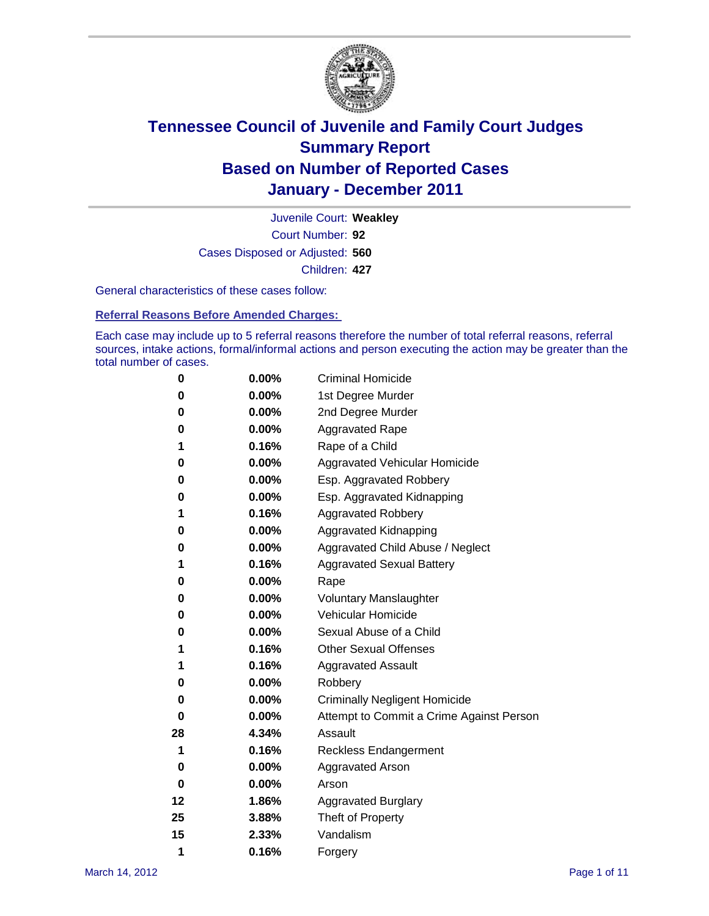

Court Number: **92** Juvenile Court: **Weakley** Cases Disposed or Adjusted: **560** Children: **427**

General characteristics of these cases follow:

**Referral Reasons Before Amended Charges:** 

Each case may include up to 5 referral reasons therefore the number of total referral reasons, referral sources, intake actions, formal/informal actions and person executing the action may be greater than the total number of cases.

| 0  | 0.00%    | <b>Criminal Homicide</b>                 |
|----|----------|------------------------------------------|
| 0  | 0.00%    | 1st Degree Murder                        |
| 0  | 0.00%    | 2nd Degree Murder                        |
| 0  | 0.00%    | <b>Aggravated Rape</b>                   |
| 1  | 0.16%    | Rape of a Child                          |
| 0  | 0.00%    | Aggravated Vehicular Homicide            |
| 0  | 0.00%    | Esp. Aggravated Robbery                  |
| 0  | 0.00%    | Esp. Aggravated Kidnapping               |
| 1  | 0.16%    | <b>Aggravated Robbery</b>                |
| 0  | 0.00%    | Aggravated Kidnapping                    |
| 0  | 0.00%    | Aggravated Child Abuse / Neglect         |
| 1  | 0.16%    | <b>Aggravated Sexual Battery</b>         |
| 0  | 0.00%    | Rape                                     |
| 0  | 0.00%    | <b>Voluntary Manslaughter</b>            |
| 0  | 0.00%    | Vehicular Homicide                       |
| 0  | 0.00%    | Sexual Abuse of a Child                  |
| 1  | 0.16%    | <b>Other Sexual Offenses</b>             |
| 1  | 0.16%    | <b>Aggravated Assault</b>                |
| 0  | 0.00%    | Robbery                                  |
| 0  | 0.00%    | <b>Criminally Negligent Homicide</b>     |
| 0  | 0.00%    | Attempt to Commit a Crime Against Person |
| 28 | 4.34%    | Assault                                  |
| 1  | 0.16%    | <b>Reckless Endangerment</b>             |
| 0  | 0.00%    | <b>Aggravated Arson</b>                  |
| 0  | $0.00\%$ | Arson                                    |
| 12 | 1.86%    | <b>Aggravated Burglary</b>               |
| 25 | 3.88%    | Theft of Property                        |
| 15 | 2.33%    | Vandalism                                |
| 1  | 0.16%    | Forgery                                  |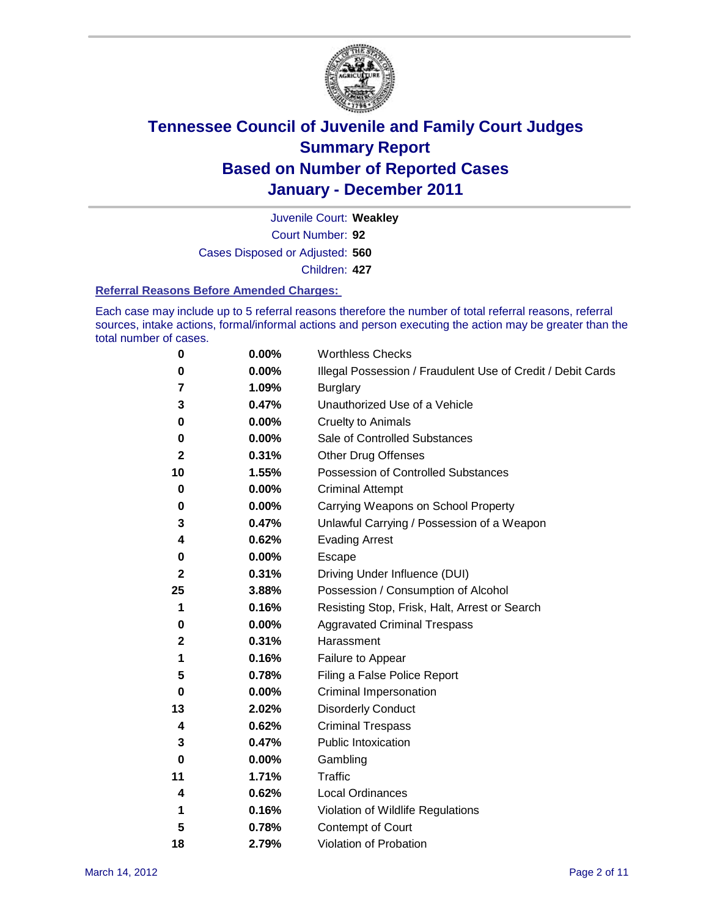

Court Number: **92** Juvenile Court: **Weakley** Cases Disposed or Adjusted: **560** Children: **427**

#### **Referral Reasons Before Amended Charges:**

Each case may include up to 5 referral reasons therefore the number of total referral reasons, referral sources, intake actions, formal/informal actions and person executing the action may be greater than the total number of cases.

| 0  | 0.00% | <b>Worthless Checks</b>                                     |
|----|-------|-------------------------------------------------------------|
| 0  | 0.00% | Illegal Possession / Fraudulent Use of Credit / Debit Cards |
| 7  | 1.09% | <b>Burglary</b>                                             |
| 3  | 0.47% | Unauthorized Use of a Vehicle                               |
| 0  | 0.00% | <b>Cruelty to Animals</b>                                   |
| 0  | 0.00% | Sale of Controlled Substances                               |
| 2  | 0.31% | <b>Other Drug Offenses</b>                                  |
| 10 | 1.55% | Possession of Controlled Substances                         |
| 0  | 0.00% | <b>Criminal Attempt</b>                                     |
| 0  | 0.00% | Carrying Weapons on School Property                         |
| 3  | 0.47% | Unlawful Carrying / Possession of a Weapon                  |
| 4  | 0.62% | <b>Evading Arrest</b>                                       |
| 0  | 0.00% | Escape                                                      |
| 2  | 0.31% | Driving Under Influence (DUI)                               |
| 25 | 3.88% | Possession / Consumption of Alcohol                         |
| 1  | 0.16% | Resisting Stop, Frisk, Halt, Arrest or Search               |
| 0  | 0.00% | <b>Aggravated Criminal Trespass</b>                         |
| 2  | 0.31% | Harassment                                                  |
| 1  | 0.16% | Failure to Appear                                           |
| 5  | 0.78% | Filing a False Police Report                                |
| 0  | 0.00% | Criminal Impersonation                                      |
| 13 | 2.02% | <b>Disorderly Conduct</b>                                   |
| 4  | 0.62% | <b>Criminal Trespass</b>                                    |
| 3  | 0.47% | <b>Public Intoxication</b>                                  |
| 0  | 0.00% | Gambling                                                    |
| 11 | 1.71% | Traffic                                                     |
| 4  | 0.62% | <b>Local Ordinances</b>                                     |
| 1  | 0.16% | Violation of Wildlife Regulations                           |
| 5  | 0.78% | Contempt of Court                                           |
| 18 | 2.79% | Violation of Probation                                      |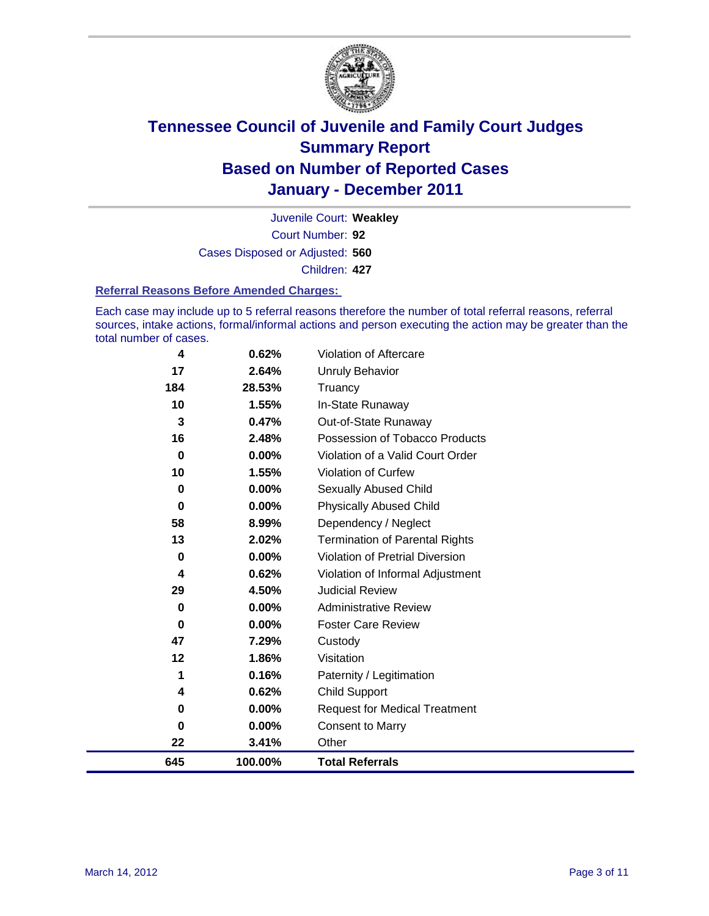

Court Number: **92** Juvenile Court: **Weakley** Cases Disposed or Adjusted: **560** Children: **427**

#### **Referral Reasons Before Amended Charges:**

Each case may include up to 5 referral reasons therefore the number of total referral reasons, referral sources, intake actions, formal/informal actions and person executing the action may be greater than the total number of cases.

| 4   | 0.62%   | Violation of Aftercare                 |
|-----|---------|----------------------------------------|
| 17  | 2.64%   | Unruly Behavior                        |
| 184 | 28.53%  | Truancy                                |
| 10  | 1.55%   | In-State Runaway                       |
| 3   | 0.47%   | Out-of-State Runaway                   |
| 16  | 2.48%   | Possession of Tobacco Products         |
| 0   | 0.00%   | Violation of a Valid Court Order       |
| 10  | 1.55%   | Violation of Curfew                    |
| 0   | 0.00%   | <b>Sexually Abused Child</b>           |
| 0   | 0.00%   | <b>Physically Abused Child</b>         |
| 58  | 8.99%   | Dependency / Neglect                   |
| 13  | 2.02%   | <b>Termination of Parental Rights</b>  |
| 0   | 0.00%   | <b>Violation of Pretrial Diversion</b> |
| 4   | 0.62%   | Violation of Informal Adjustment       |
| 29  | 4.50%   | <b>Judicial Review</b>                 |
| 0   | 0.00%   | <b>Administrative Review</b>           |
| 0   | 0.00%   | <b>Foster Care Review</b>              |
| 47  | 7.29%   | Custody                                |
| 12  | 1.86%   | Visitation                             |
| 1   | 0.16%   | Paternity / Legitimation               |
| 4   | 0.62%   | <b>Child Support</b>                   |
| 0   | 0.00%   | <b>Request for Medical Treatment</b>   |
| 0   | 0.00%   | <b>Consent to Marry</b>                |
| 22  | 3.41%   | Other                                  |
| 645 | 100.00% | <b>Total Referrals</b>                 |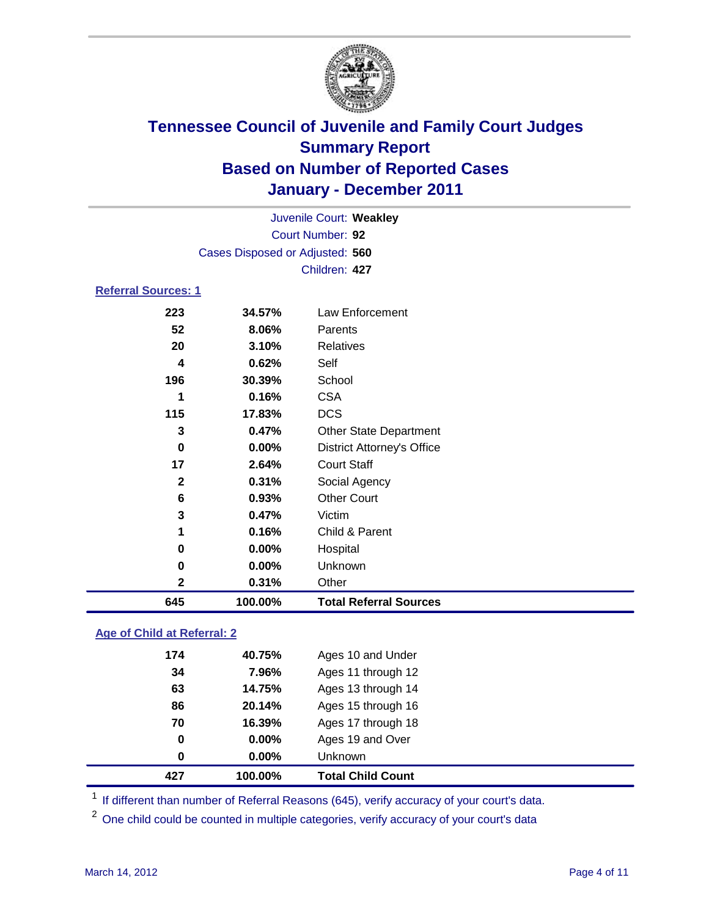

|                            |                                 | Juvenile Court: Weakley           |  |
|----------------------------|---------------------------------|-----------------------------------|--|
|                            |                                 | Court Number: 92                  |  |
|                            | Cases Disposed or Adjusted: 560 |                                   |  |
|                            |                                 | Children: 427                     |  |
| <b>Referral Sources: 1</b> |                                 |                                   |  |
| 223                        | 34.57%                          | Law Enforcement                   |  |
| 52                         | 8.06%                           | Parents                           |  |
| 20                         | 3.10%                           | Relatives                         |  |
| 4                          | 0.62%                           | Self                              |  |
| 196                        | 30.39%                          | School                            |  |
| 1                          | 0.16%                           | <b>CSA</b>                        |  |
| 115                        | 17.83%                          | <b>DCS</b>                        |  |
| 3                          | 0.47%                           | <b>Other State Department</b>     |  |
| $\bf{0}$                   | 0.00%                           | <b>District Attorney's Office</b> |  |
| 17                         | 2.64%                           | <b>Court Staff</b>                |  |
| $\mathbf{2}$               | 0.31%                           | Social Agency                     |  |
| 6                          | 0.93%                           | <b>Other Court</b>                |  |
| 3                          | 0.47%                           | Victim                            |  |
| 1                          | 0.16%                           | Child & Parent                    |  |
| 0                          | 0.00%                           | Hospital                          |  |
| 0                          | 0.00%                           | Unknown                           |  |
| $\mathbf 2$                | 0.31%                           | Other                             |  |
| 645                        | 100.00%                         | <b>Total Referral Sources</b>     |  |
|                            |                                 |                                   |  |

### **Age of Child at Referral: 2**

| 427 | 100.00% | <b>Total Child Count</b> |
|-----|---------|--------------------------|
| 0   | 0.00%   | <b>Unknown</b>           |
| 0   | 0.00%   | Ages 19 and Over         |
| 70  | 16.39%  | Ages 17 through 18       |
| 86  | 20.14%  | Ages 15 through 16       |
| 63  | 14.75%  | Ages 13 through 14       |
| 34  | 7.96%   | Ages 11 through 12       |
| 174 | 40.75%  | Ages 10 and Under        |
|     |         |                          |

<sup>1</sup> If different than number of Referral Reasons (645), verify accuracy of your court's data.

<sup>2</sup> One child could be counted in multiple categories, verify accuracy of your court's data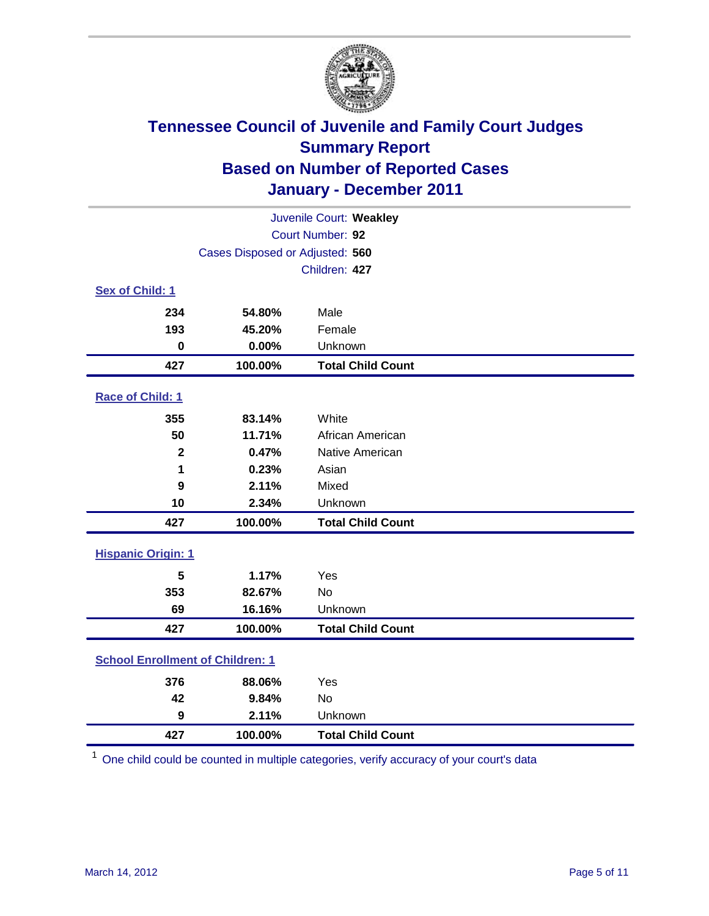

|                                         | Juvenile Court: Weakley         |                          |  |  |
|-----------------------------------------|---------------------------------|--------------------------|--|--|
| Court Number: 92                        |                                 |                          |  |  |
|                                         | Cases Disposed or Adjusted: 560 |                          |  |  |
|                                         |                                 | Children: 427            |  |  |
| Sex of Child: 1                         |                                 |                          |  |  |
| 234                                     | 54.80%                          | Male                     |  |  |
| 193                                     | 45.20%                          | Female                   |  |  |
| $\mathbf 0$                             | 0.00%                           | Unknown                  |  |  |
| 427                                     | 100.00%                         | <b>Total Child Count</b> |  |  |
| Race of Child: 1                        |                                 |                          |  |  |
| 355                                     | 83.14%                          | White                    |  |  |
| 50                                      | 11.71%                          | African American         |  |  |
| $\mathbf{2}$                            | 0.47%                           | Native American          |  |  |
| 1                                       | 0.23%                           | Asian                    |  |  |
| 9                                       | 2.11%                           | Mixed                    |  |  |
| 10                                      | 2.34%                           | Unknown                  |  |  |
| 427                                     | 100.00%                         | <b>Total Child Count</b> |  |  |
| <b>Hispanic Origin: 1</b>               |                                 |                          |  |  |
| 5                                       | 1.17%                           | Yes                      |  |  |
| 353                                     | 82.67%                          | <b>No</b>                |  |  |
| 69                                      | 16.16%                          | Unknown                  |  |  |
| 427                                     | 100.00%                         | <b>Total Child Count</b> |  |  |
| <b>School Enrollment of Children: 1</b> |                                 |                          |  |  |
| 376                                     | 88.06%                          | Yes                      |  |  |
| 42                                      | 9.84%                           | <b>No</b>                |  |  |
| 9                                       | 2.11%                           | Unknown                  |  |  |
| 427                                     | 100.00%                         | <b>Total Child Count</b> |  |  |

One child could be counted in multiple categories, verify accuracy of your court's data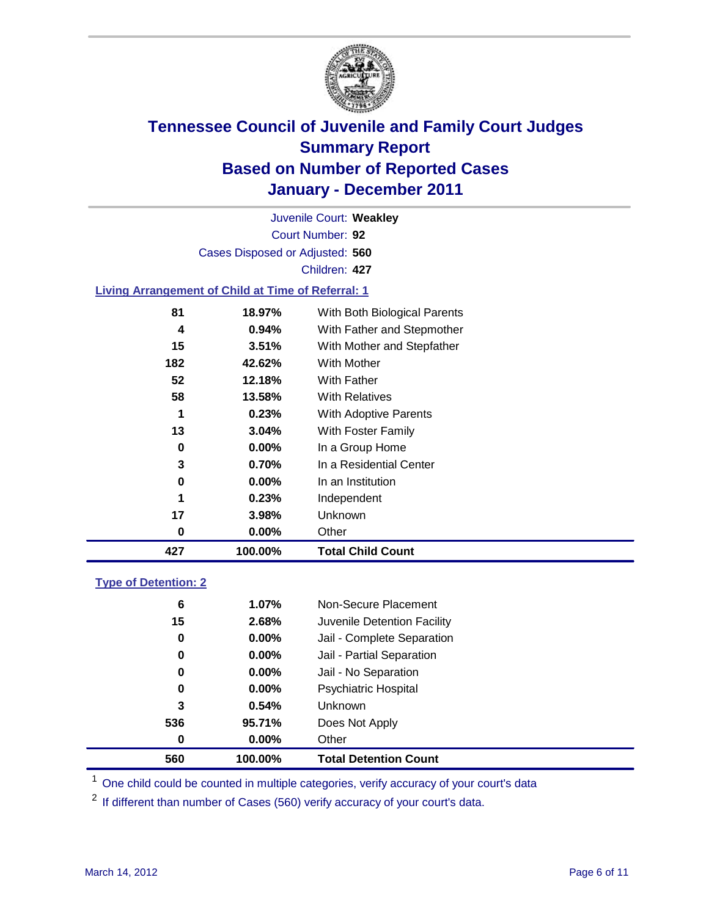

Court Number: **92** Juvenile Court: **Weakley** Cases Disposed or Adjusted: **560** Children: **427**

#### **Living Arrangement of Child at Time of Referral: 1**

| 427 | 100.00%  | <b>Total Child Count</b>     |
|-----|----------|------------------------------|
| 0   | 0.00%    | Other                        |
| 17  | 3.98%    | <b>Unknown</b>               |
| 1   | 0.23%    | Independent                  |
| 0   | 0.00%    | In an Institution            |
| 3   | 0.70%    | In a Residential Center      |
| 0   | 0.00%    | In a Group Home              |
| 13  | 3.04%    | With Foster Family           |
| 1   | 0.23%    | With Adoptive Parents        |
| 58  | 13.58%   | <b>With Relatives</b>        |
| 52  | 12.18%   | With Father                  |
| 182 | 42.62%   | With Mother                  |
| 15  | 3.51%    | With Mother and Stepfather   |
| 4   | $0.94\%$ | With Father and Stepmother   |
| 81  | 18.97%   | With Both Biological Parents |
|     |          |                              |

#### **Type of Detention: 2**

| 560 | 100.00%  | <b>Total Detention Count</b> |  |
|-----|----------|------------------------------|--|
| 0   | 0.00%    | Other                        |  |
| 536 | 95.71%   | Does Not Apply               |  |
| 3   | 0.54%    | Unknown                      |  |
| 0   | $0.00\%$ | Psychiatric Hospital         |  |
| 0   | 0.00%    | Jail - No Separation         |  |
| 0   | $0.00\%$ | Jail - Partial Separation    |  |
| 0   | 0.00%    | Jail - Complete Separation   |  |
| 15  | 2.68%    | Juvenile Detention Facility  |  |
| 6   | 1.07%    | Non-Secure Placement         |  |
|     |          |                              |  |

<sup>1</sup> One child could be counted in multiple categories, verify accuracy of your court's data

<sup>2</sup> If different than number of Cases (560) verify accuracy of your court's data.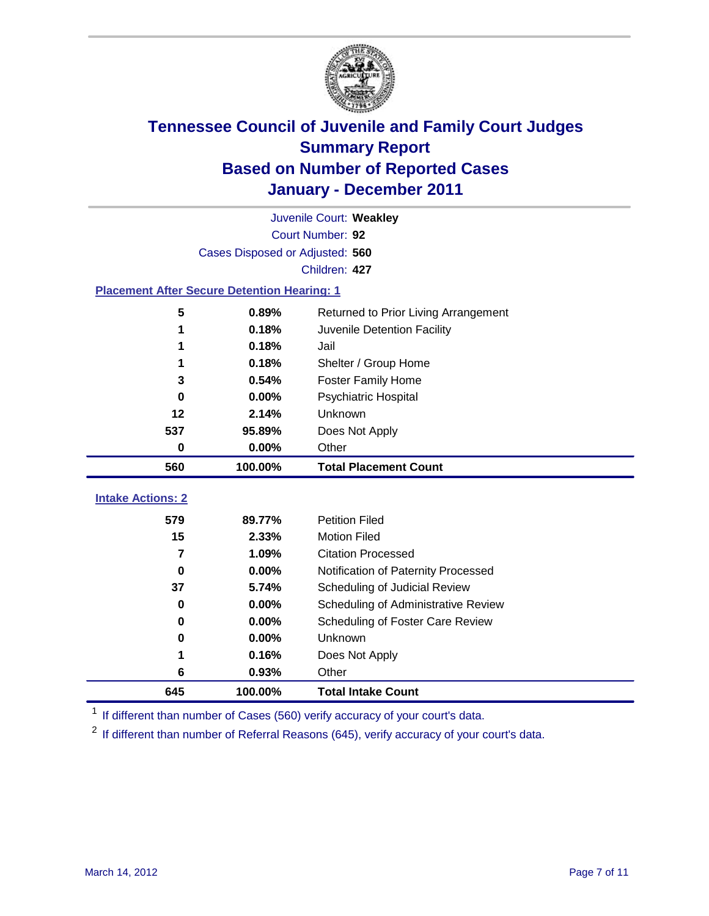

|                                                    | Juvenile Court: Weakley         |                                      |  |  |  |
|----------------------------------------------------|---------------------------------|--------------------------------------|--|--|--|
|                                                    | Court Number: 92                |                                      |  |  |  |
|                                                    | Cases Disposed or Adjusted: 560 |                                      |  |  |  |
|                                                    |                                 | Children: 427                        |  |  |  |
| <b>Placement After Secure Detention Hearing: 1</b> |                                 |                                      |  |  |  |
| 5                                                  | 0.89%                           | Returned to Prior Living Arrangement |  |  |  |
| 1                                                  | 0.18%                           | Juvenile Detention Facility          |  |  |  |
| 1                                                  | 0.18%                           | Jail                                 |  |  |  |
| 1                                                  | 0.18%                           | Shelter / Group Home                 |  |  |  |
| 3                                                  | 0.54%                           | <b>Foster Family Home</b>            |  |  |  |
| 0                                                  | 0.00%                           | Psychiatric Hospital                 |  |  |  |
| 12                                                 | 2.14%                           | Unknown                              |  |  |  |
| 537                                                | 95.89%                          | Does Not Apply                       |  |  |  |
| 0                                                  | 0.00%                           | Other                                |  |  |  |
| 560                                                | 100.00%                         | <b>Total Placement Count</b>         |  |  |  |
|                                                    |                                 |                                      |  |  |  |
| <b>Intake Actions: 2</b>                           |                                 |                                      |  |  |  |
| 579                                                | 89.77%                          | <b>Petition Filed</b>                |  |  |  |
| 15                                                 | 2.33%                           | <b>Motion Filed</b>                  |  |  |  |
| 7                                                  | 1.09%                           | <b>Citation Processed</b>            |  |  |  |
| 0                                                  | 0.00%                           | Notification of Paternity Processed  |  |  |  |
| 37                                                 | 5.74%                           | Scheduling of Judicial Review        |  |  |  |
| 0                                                  | 0.00%                           | Scheduling of Administrative Review  |  |  |  |
| 0                                                  | $0.00\%$                        | Scheduling of Foster Care Review     |  |  |  |
| 0                                                  | 0.00%                           | Unknown                              |  |  |  |
| 1                                                  | 0.16%                           | Does Not Apply                       |  |  |  |
| 6                                                  | 0.93%                           | Other                                |  |  |  |
| 645                                                | 100.00%                         | <b>Total Intake Count</b>            |  |  |  |

<sup>1</sup> If different than number of Cases (560) verify accuracy of your court's data.

<sup>2</sup> If different than number of Referral Reasons (645), verify accuracy of your court's data.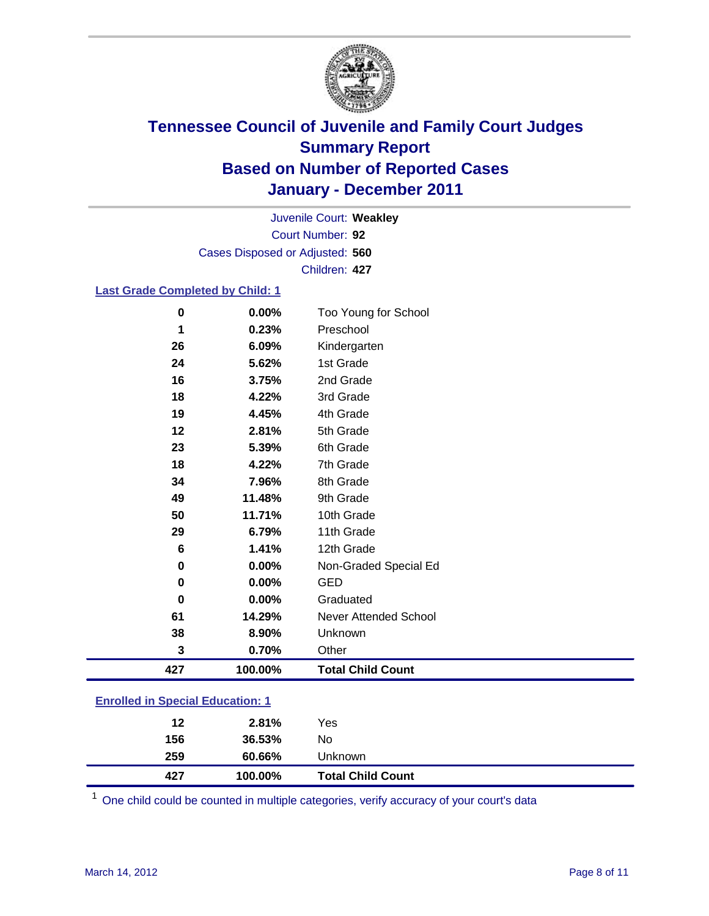

Court Number: **92** Juvenile Court: **Weakley** Cases Disposed or Adjusted: **560** Children: **427**

### **Last Grade Completed by Child: 1**

| $\bf{0}$                                | 0.00%   | Too Young for School         |  |
|-----------------------------------------|---------|------------------------------|--|
| 1                                       | 0.23%   | Preschool                    |  |
| 26                                      | 6.09%   | Kindergarten                 |  |
| 24                                      | 5.62%   | 1st Grade                    |  |
| 16                                      | 3.75%   | 2nd Grade                    |  |
| 18                                      | 4.22%   | 3rd Grade                    |  |
| 19                                      | 4.45%   | 4th Grade                    |  |
| 12                                      | 2.81%   | 5th Grade                    |  |
| 23                                      | 5.39%   | 6th Grade                    |  |
| 18                                      | 4.22%   | 7th Grade                    |  |
| 34                                      | 7.96%   | 8th Grade                    |  |
| 49                                      | 11.48%  | 9th Grade                    |  |
| 50                                      | 11.71%  | 10th Grade                   |  |
| 29                                      | 6.79%   | 11th Grade                   |  |
| 6                                       | 1.41%   | 12th Grade                   |  |
| 0                                       | 0.00%   | Non-Graded Special Ed        |  |
| $\pmb{0}$                               | 0.00%   | <b>GED</b>                   |  |
| $\bf{0}$                                | 0.00%   | Graduated                    |  |
| 61                                      | 14.29%  | <b>Never Attended School</b> |  |
| 38                                      | 8.90%   | Unknown                      |  |
| 3                                       | 0.70%   | Other                        |  |
| 427                                     | 100.00% | <b>Total Child Count</b>     |  |
| <b>Enrolled in Special Education: 1</b> |         |                              |  |

| 427                                | 100.00% | <b>Total Child Count</b> |  |
|------------------------------------|---------|--------------------------|--|
| 259                                | 60.66%  | Unknown                  |  |
| 156                                | 36.53%  | No                       |  |
| 12                                 | 2.81%   | Yes                      |  |
| __________________________________ |         |                          |  |

One child could be counted in multiple categories, verify accuracy of your court's data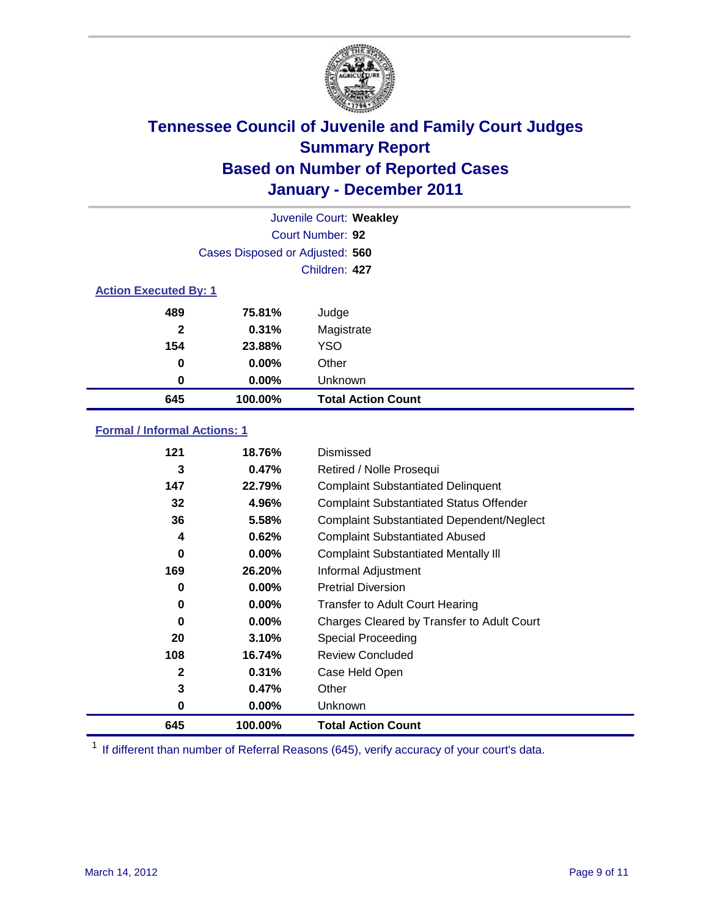

|                              | Juvenile Court: Weakley         |                           |  |
|------------------------------|---------------------------------|---------------------------|--|
|                              | Court Number: 92                |                           |  |
|                              | Cases Disposed or Adjusted: 560 |                           |  |
|                              |                                 | Children: 427             |  |
| <b>Action Executed By: 1</b> |                                 |                           |  |
| 489                          | 75.81%                          | Judge                     |  |
| $\mathbf{2}$                 | 0.31%                           | Magistrate                |  |
| 154                          | 23.88%                          | <b>YSO</b>                |  |
| 0                            | 0.00%                           | Other                     |  |
| 0                            | 0.00%                           | Unknown                   |  |
| 645                          | 100.00%                         | <b>Total Action Count</b> |  |

### **Formal / Informal Actions: 1**

| 121          | 18.76%   | Dismissed                                        |
|--------------|----------|--------------------------------------------------|
| 3            | 0.47%    | Retired / Nolle Prosequi                         |
| 147          | 22.79%   | <b>Complaint Substantiated Delinquent</b>        |
| 32           | 4.96%    | <b>Complaint Substantiated Status Offender</b>   |
| 36           | 5.58%    | <b>Complaint Substantiated Dependent/Neglect</b> |
| 4            | 0.62%    | <b>Complaint Substantiated Abused</b>            |
| 0            | $0.00\%$ | <b>Complaint Substantiated Mentally III</b>      |
| 169          | 26.20%   | Informal Adjustment                              |
| 0            | $0.00\%$ | <b>Pretrial Diversion</b>                        |
| 0            | $0.00\%$ | <b>Transfer to Adult Court Hearing</b>           |
| 0            | 0.00%    | Charges Cleared by Transfer to Adult Court       |
| 20           | 3.10%    | Special Proceeding                               |
| 108          | 16.74%   | <b>Review Concluded</b>                          |
| $\mathbf{2}$ | 0.31%    | Case Held Open                                   |
| 3            | 0.47%    | Other                                            |
| 0            | $0.00\%$ | <b>Unknown</b>                                   |
| 645          | 100.00%  | <b>Total Action Count</b>                        |

<sup>1</sup> If different than number of Referral Reasons (645), verify accuracy of your court's data.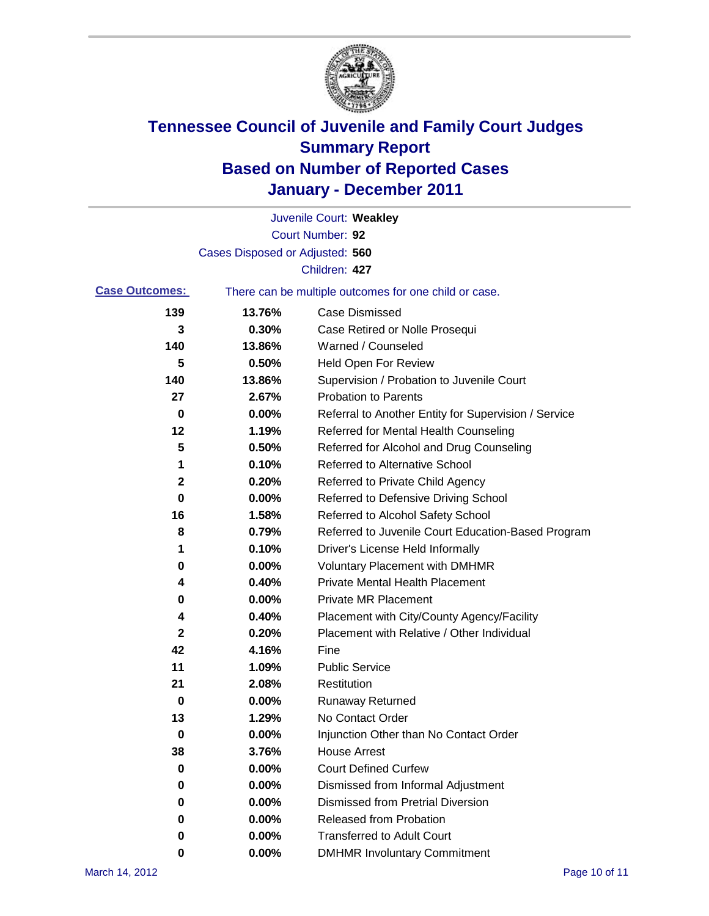

|                       |                                 | Juvenile Court: Weakley                               |
|-----------------------|---------------------------------|-------------------------------------------------------|
|                       |                                 | Court Number: 92                                      |
|                       | Cases Disposed or Adjusted: 560 |                                                       |
|                       |                                 | Children: 427                                         |
| <b>Case Outcomes:</b> |                                 | There can be multiple outcomes for one child or case. |
| 139                   | 13.76%                          | <b>Case Dismissed</b>                                 |
| 3                     | 0.30%                           | Case Retired or Nolle Prosequi                        |
| 140                   | 13.86%                          | Warned / Counseled                                    |
| 5                     | 0.50%                           | <b>Held Open For Review</b>                           |
| 140                   | 13.86%                          | Supervision / Probation to Juvenile Court             |
| 27                    | 2.67%                           | <b>Probation to Parents</b>                           |
| 0                     | 0.00%                           | Referral to Another Entity for Supervision / Service  |
| 12                    | 1.19%                           | Referred for Mental Health Counseling                 |
| 5                     | 0.50%                           | Referred for Alcohol and Drug Counseling              |
| 1                     | 0.10%                           | <b>Referred to Alternative School</b>                 |
| 2                     | 0.20%                           | Referred to Private Child Agency                      |
| 0                     | 0.00%                           | Referred to Defensive Driving School                  |
| 16                    | 1.58%                           | Referred to Alcohol Safety School                     |
| 8                     | 0.79%                           | Referred to Juvenile Court Education-Based Program    |
| 1                     | 0.10%                           | Driver's License Held Informally                      |
| 0                     | 0.00%                           | <b>Voluntary Placement with DMHMR</b>                 |
| 4                     | 0.40%                           | <b>Private Mental Health Placement</b>                |
| 0                     | 0.00%                           | <b>Private MR Placement</b>                           |
| 4                     | 0.40%                           | Placement with City/County Agency/Facility            |
| $\mathbf 2$           | 0.20%                           | Placement with Relative / Other Individual            |
| 42                    | 4.16%                           | Fine                                                  |
| 11                    | 1.09%                           | <b>Public Service</b>                                 |
| 21                    | 2.08%                           | Restitution                                           |
| 0                     | 0.00%                           | <b>Runaway Returned</b>                               |
| 13                    | 1.29%                           | No Contact Order                                      |
| 0                     | 0.00%                           | Injunction Other than No Contact Order                |
| 38                    | 3.76%                           | <b>House Arrest</b>                                   |
| 0                     | 0.00%                           | <b>Court Defined Curfew</b>                           |
| 0                     | 0.00%                           | Dismissed from Informal Adjustment                    |
| 0                     | 0.00%                           | <b>Dismissed from Pretrial Diversion</b>              |
| 0                     | 0.00%                           | Released from Probation                               |
| 0                     | 0.00%                           | <b>Transferred to Adult Court</b>                     |
| 0                     | $0.00\%$                        | <b>DMHMR Involuntary Commitment</b>                   |